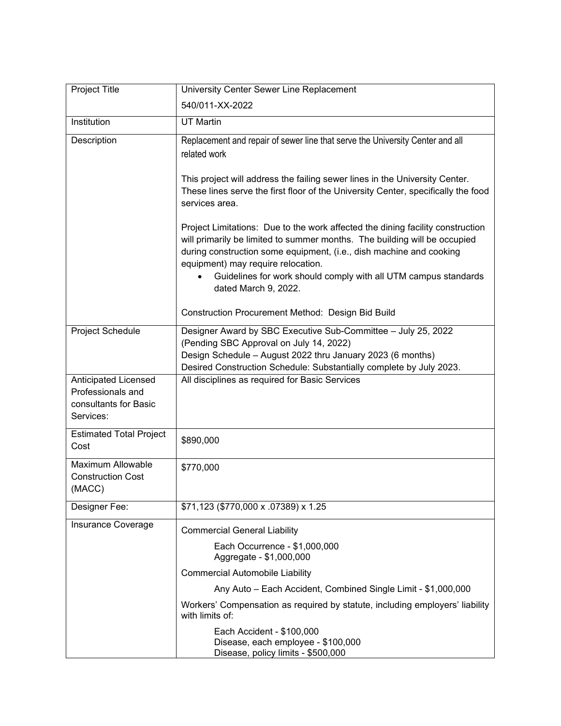| Project Title                                                                          | University Center Sewer Line Replacement                                                                                                                                                                                                                                                                                                    |
|----------------------------------------------------------------------------------------|---------------------------------------------------------------------------------------------------------------------------------------------------------------------------------------------------------------------------------------------------------------------------------------------------------------------------------------------|
|                                                                                        | 540/011-XX-2022                                                                                                                                                                                                                                                                                                                             |
| Institution                                                                            | <b>UT Martin</b>                                                                                                                                                                                                                                                                                                                            |
| Description                                                                            | Replacement and repair of sewer line that serve the University Center and all<br>related work                                                                                                                                                                                                                                               |
|                                                                                        | This project will address the failing sewer lines in the University Center.<br>These lines serve the first floor of the University Center, specifically the food<br>services area.                                                                                                                                                          |
|                                                                                        | Project Limitations: Due to the work affected the dining facility construction<br>will primarily be limited to summer months. The building will be occupied<br>during construction some equipment, (i.e., dish machine and cooking<br>equipment) may require relocation.<br>Guidelines for work should comply with all UTM campus standards |
|                                                                                        | dated March 9, 2022.                                                                                                                                                                                                                                                                                                                        |
|                                                                                        | Construction Procurement Method: Design Bid Build                                                                                                                                                                                                                                                                                           |
| Project Schedule                                                                       | Designer Award by SBC Executive Sub-Committee - July 25, 2022<br>(Pending SBC Approval on July 14, 2022)<br>Design Schedule - August 2022 thru January 2023 (6 months)<br>Desired Construction Schedule: Substantially complete by July 2023.                                                                                               |
| <b>Anticipated Licensed</b><br>Professionals and<br>consultants for Basic<br>Services: | All disciplines as required for Basic Services                                                                                                                                                                                                                                                                                              |
| <b>Estimated Total Project</b><br>Cost                                                 | \$890,000                                                                                                                                                                                                                                                                                                                                   |
| Maximum Allowable<br><b>Construction Cost</b><br>(MACC)                                | \$770,000                                                                                                                                                                                                                                                                                                                                   |
| Designer Fee:                                                                          | \$71,123 (\$770,000 x .07389) x 1.25                                                                                                                                                                                                                                                                                                        |
| Insurance Coverage                                                                     | <b>Commercial General Liability</b>                                                                                                                                                                                                                                                                                                         |
|                                                                                        | Each Occurrence - \$1,000,000<br>Aggregate - \$1,000,000                                                                                                                                                                                                                                                                                    |
|                                                                                        | <b>Commercial Automobile Liability</b>                                                                                                                                                                                                                                                                                                      |
|                                                                                        | Any Auto - Each Accident, Combined Single Limit - \$1,000,000                                                                                                                                                                                                                                                                               |
|                                                                                        | Workers' Compensation as required by statute, including employers' liability<br>with limits of:                                                                                                                                                                                                                                             |
|                                                                                        | Each Accident - \$100,000<br>Disease, each employee - \$100,000<br>Disease, policy limits - \$500,000                                                                                                                                                                                                                                       |